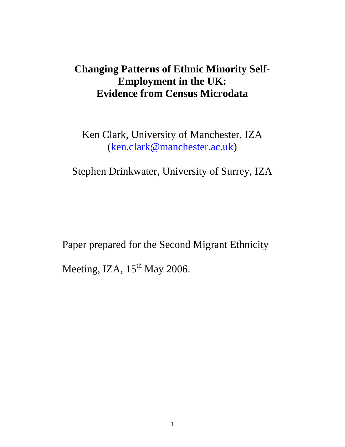# **Changing Patterns of Ethnic Minority Self-Employment in the UK: Evidence from Census Microdata**

Ken Clark, University of Manchester, IZA (ken.clark@manchester.ac.uk)

Stephen Drinkwater, University of Surrey, IZA

Paper prepared for the Second Migrant Ethnicity Meeting, IZA, 15<sup>th</sup> May 2006.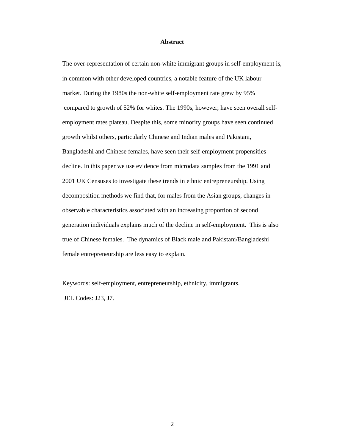#### **Abstract**

The over-representation of certain non-white immigrant groups in self-employment is, in common with other developed countries, a notable feature of the UK labour market. During the 1980s the non-white self-employment rate grew by 95% compared to growth of 52% for whites. The 1990s, however, have seen overall selfemployment rates plateau. Despite this, some minority groups have seen continued growth whilst others, particularly Chinese and Indian males and Pakistani, Bangladeshi and Chinese females, have seen their self-employment propensities decline. In this paper we use evidence from microdata samples from the 1991 and 2001 UK Censuses to investigate these trends in ethnic entrepreneurship. Using decomposition methods we find that, for males from the Asian groups, changes in observable characteristics associated with an increasing proportion of second generation individuals explains much of the decline in self-employment. This is also true of Chinese females. The dynamics of Black male and Pakistani/Bangladeshi female entrepreneurship are less easy to explain.

Keywords: self-employment, entrepreneurship, ethnicity, immigrants. JEL Codes: J23, J7.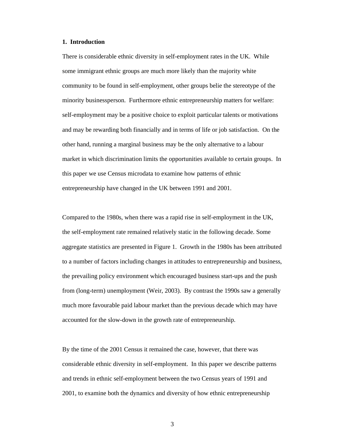#### **1. Introduction**

There is considerable ethnic diversity in self-employment rates in the UK. While some immigrant ethnic groups are much more likely than the majority white community to be found in self-employment, other groups belie the stereotype of the minority businessperson. Furthermore ethnic entrepreneurship matters for welfare: self-employment may be a positive choice to exploit particular talents or motivations and may be rewarding both financially and in terms of life or job satisfaction. On the other hand, running a marginal business may be the only alternative to a labour market in which discrimination limits the opportunities available to certain groups. In this paper we use Census microdata to examine how patterns of ethnic entrepreneurship have changed in the UK between 1991 and 2001.

Compared to the 1980s, when there was a rapid rise in self-employment in the UK, the self-employment rate remained relatively static in the following decade. Some aggregate statistics are presented in Figure 1. Growth in the 1980s has been attributed to a number of factors including changes in attitudes to entrepreneurship and business, the prevailing policy environment which encouraged business start-ups and the push from (long-term) unemployment (Weir, 2003). By contrast the 1990s saw a generally much more favourable paid labour market than the previous decade which may have accounted for the slow-down in the growth rate of entrepreneurship.

By the time of the 2001 Census it remained the case, however, that there was considerable ethnic diversity in self-employment. In this paper we describe patterns and trends in ethnic self-employment between the two Census years of 1991 and 2001, to examine both the dynamics and diversity of how ethnic entrepreneurship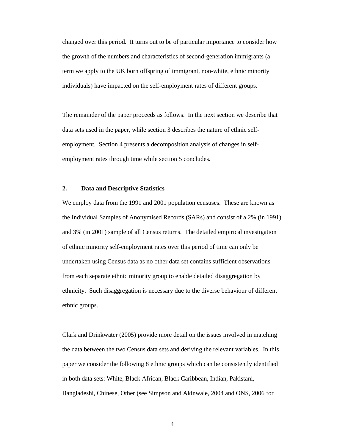changed over this period. It turns out to be of particular importance to consider how the growth of the numbers and characteristics of second-generation immigrants (a term we apply to the UK born offspring of immigrant, non-white, ethnic minority individuals) have impacted on the self-employment rates of different groups.

The remainder of the paper proceeds as follows. In the next section we describe that data sets used in the paper, while section 3 describes the nature of ethnic selfemployment. Section 4 presents a decomposition analysis of changes in selfemployment rates through time while section 5 concludes.

### **2. Data and Descriptive Statistics**

We employ data from the 1991 and 2001 population censuses. These are known as the Individual Samples of Anonymised Records (SARs) and consist of a 2% (in 1991) and 3% (in 2001) sample of all Census returns. The detailed empirical investigation of ethnic minority self-employment rates over this period of time can only be undertaken using Census data as no other data set contains sufficient observations from each separate ethnic minority group to enable detailed disaggregation by ethnicity. Such disaggregation is necessary due to the diverse behaviour of different ethnic groups.

Clark and Drinkwater (2005) provide more detail on the issues involved in matching the data between the two Census data sets and deriving the relevant variables. In this paper we consider the following 8 ethnic groups which can be consistently identified in both data sets: White, Black African, Black Caribbean, Indian, Pakistani, Bangladeshi, Chinese, Other (see Simpson and Akinwale, 2004 and ONS, 2006 for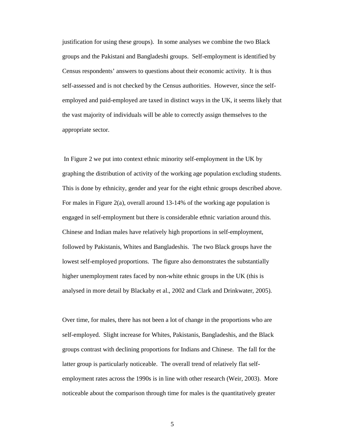justification for using these groups). In some analyses we combine the two Black groups and the Pakistani and Bangladeshi groups. Self-employment is identified by Census respondents' answers to questions about their economic activity. It is thus self-assessed and is not checked by the Census authorities. However, since the selfemployed and paid-employed are taxed in distinct ways in the UK, it seems likely that the vast majority of individuals will be able to correctly assign themselves to the appropriate sector.

 In Figure 2 we put into context ethnic minority self-employment in the UK by graphing the distribution of activity of the working age population excluding students. This is done by ethnicity, gender and year for the eight ethnic groups described above. For males in Figure 2(a), overall around 13-14% of the working age population is engaged in self-employment but there is considerable ethnic variation around this. Chinese and Indian males have relatively high proportions in self-employment, followed by Pakistanis, Whites and Bangladeshis. The two Black groups have the lowest self-employed proportions. The figure also demonstrates the substantially higher unemployment rates faced by non-white ethnic groups in the UK (this is analysed in more detail by Blackaby et al., 2002 and Clark and Drinkwater, 2005).

Over time, for males, there has not been a lot of change in the proportions who are self-employed. Slight increase for Whites, Pakistanis, Bangladeshis, and the Black groups contrast with declining proportions for Indians and Chinese. The fall for the latter group is particularly noticeable. The overall trend of relatively flat selfemployment rates across the 1990s is in line with other research (Weir, 2003). More noticeable about the comparison through time for males is the quantitatively greater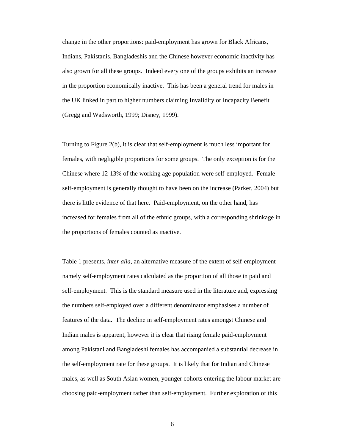change in the other proportions: paid-employment has grown for Black Africans, Indians, Pakistanis, Bangladeshis and the Chinese however economic inactivity has also grown for all these groups. Indeed every one of the groups exhibits an increase in the proportion economically inactive. This has been a general trend for males in the UK linked in part to higher numbers claiming Invalidity or Incapacity Benefit (Gregg and Wadsworth, 1999; Disney, 1999).

Turning to Figure 2(b), it is clear that self-employment is much less important for females, with negligible proportions for some groups. The only exception is for the Chinese where 12-13% of the working age population were self-employed. Female self-employment is generally thought to have been on the increase (Parker, 2004) but there is little evidence of that here. Paid-employment, on the other hand, has increased for females from all of the ethnic groups, with a corresponding shrinkage in the proportions of females counted as inactive.

Table 1 presents, *inter alia*, an alternative measure of the extent of self-employment namely self-employment rates calculated as the proportion of all those in paid and self-employment. This is the standard measure used in the literature and, expressing the numbers self-employed over a different denominator emphasises a number of features of the data. The decline in self-employment rates amongst Chinese and Indian males is apparent, however it is clear that rising female paid-employment among Pakistani and Bangladeshi females has accompanied a substantial decrease in the self-employment rate for these groups. It is likely that for Indian and Chinese males, as well as South Asian women, younger cohorts entering the labour market are choosing paid-employment rather than self-employment. Further exploration of this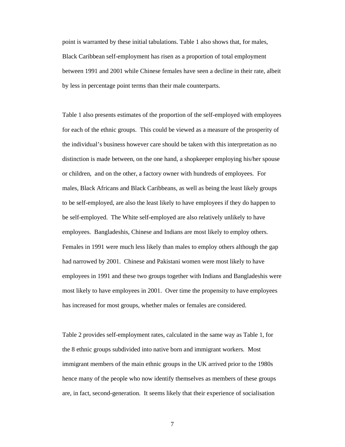point is warranted by these initial tabulations. Table 1 also shows that, for males, Black Caribbean self-employment has risen as a proportion of total employment between 1991 and 2001 while Chinese females have seen a decline in their rate, albeit by less in percentage point terms than their male counterparts.

Table 1 also presents estimates of the proportion of the self-employed with employees for each of the ethnic groups. This could be viewed as a measure of the prosperity of the individual's business however care should be taken with this interpretation as no distinction is made between, on the one hand, a shopkeeper employing his/her spouse or children, and on the other, a factory owner with hundreds of employees. For males, Black Africans and Black Caribbeans, as well as being the least likely groups to be self-employed, are also the least likely to have employees if they do happen to be self-employed. The White self-employed are also relatively unlikely to have employees. Bangladeshis, Chinese and Indians are most likely to employ others. Females in 1991 were much less likely than males to employ others although the gap had narrowed by 2001. Chinese and Pakistani women were most likely to have employees in 1991 and these two groups together with Indians and Bangladeshis were most likely to have employees in 2001. Over time the propensity to have employees has increased for most groups, whether males or females are considered.

Table 2 provides self-employment rates, calculated in the same way as Table 1, for the 8 ethnic groups subdivided into native born and immigrant workers. Most immigrant members of the main ethnic groups in the UK arrived prior to the 1980s hence many of the people who now identify themselves as members of these groups are, in fact, second-generation. It seems likely that their experience of socialisation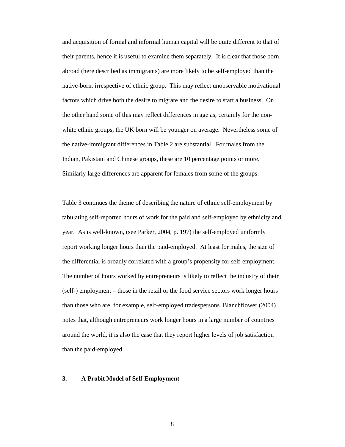and acquisition of formal and informal human capital will be quite different to that of their parents, hence it is useful to examine them separately. It is clear that those born abroad (here described as immigrants) are more likely to be self-employed than the native-born, irrespective of ethnic group. This may reflect unobservable motivational factors which drive both the desire to migrate and the desire to start a business. On the other hand some of this may reflect differences in age as, certainly for the nonwhite ethnic groups, the UK born will be younger on average. Nevertheless some of the native-immigrant differences in Table 2 are substantial. For males from the Indian, Pakistani and Chinese groups, these are 10 percentage points or more. Similarly large differences are apparent for females from some of the groups.

Table 3 continues the theme of describing the nature of ethnic self-employment by tabulating self-reported hours of work for the paid and self-employed by ethnicity and year. As is well-known, (see Parker, 2004, p. 197) the self-employed uniformly report working longer hours than the paid-employed. At least for males, the size of the differential is broadly correlated with a group's propensity for self-employment. The number of hours worked by entrepreneurs is likely to reflect the industry of their (self-) employment – those in the retail or the food service sectors work longer hours than those who are, for example, self-employed tradespersons. Blanchflower (2004) notes that, although entrepreneurs work longer hours in a large number of countries around the world, it is also the case that they report higher levels of job satisfaction than the paid-employed.

#### **3. A Probit Model of Self-Employment**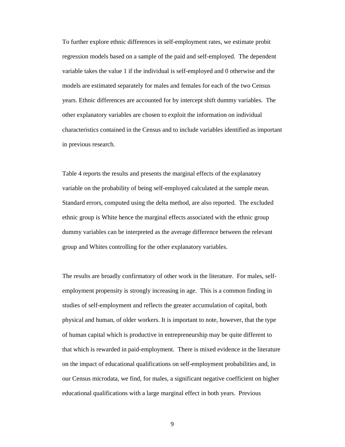To further explore ethnic differences in self-employment rates, we estimate probit regression models based on a sample of the paid and self-employed. The dependent variable takes the value 1 if the individual is self-employed and 0 otherwise and the models are estimated separately for males and females for each of the two Census years. Ethnic differences are accounted for by intercept shift dummy variables. The other explanatory variables are chosen to exploit the information on individual characteristics contained in the Census and to include variables identified as important in previous research.

Table 4 reports the results and presents the marginal effects of the explanatory variable on the probability of being self-employed calculated at the sample mean. Standard errors, computed using the delta method, are also reported. The excluded ethnic group is White hence the marginal effects associated with the ethnic group dummy variables can be interpreted as the average difference between the relevant group and Whites controlling for the other explanatory variables.

The results are broadly confirmatory of other work in the literature. For males, selfemployment propensity is strongly increasing in age. This is a common finding in studies of self-employment and reflects the greater accumulation of capital, both physical and human, of older workers. It is important to note, however, that the type of human capital which is productive in entrepreneurship may be quite different to that which is rewarded in paid-employment. There is mixed evidence in the literature on the impact of educational qualifications on self-employment probabilities and, in our Census microdata, we find, for males, a significant negative coefficient on higher educational qualifications with a large marginal effect in both years. Previous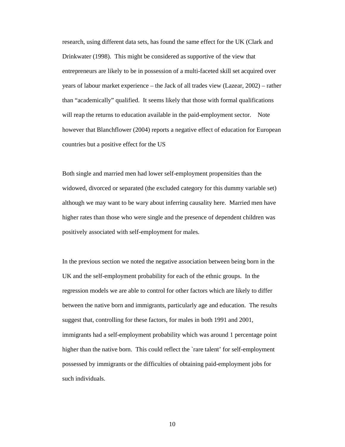research, using different data sets, has found the same effect for the UK (Clark and Drinkwater (1998). This might be considered as supportive of the view that entrepreneurs are likely to be in possession of a multi-faceted skill set acquired over years of labour market experience – the Jack of all trades view (Lazear, 2002) – rather than "academically" qualified. It seems likely that those with formal qualifications will reap the returns to education available in the paid-employment sector. Note however that Blanchflower (2004) reports a negative effect of education for European countries but a positive effect for the US

Both single and married men had lower self-employment propensities than the widowed, divorced or separated (the excluded category for this dummy variable set) although we may want to be wary about inferring causality here. Married men have higher rates than those who were single and the presence of dependent children was positively associated with self-employment for males.

In the previous section we noted the negative association between being born in the UK and the self-employment probability for each of the ethnic groups. In the regression models we are able to control for other factors which are likely to differ between the native born and immigrants, particularly age and education. The results suggest that, controlling for these factors, for males in both 1991 and 2001, immigrants had a self-employment probability which was around 1 percentage point higher than the native born. This could reflect the 'rare talent' for self-employment possessed by immigrants or the difficulties of obtaining paid-employment jobs for such individuals.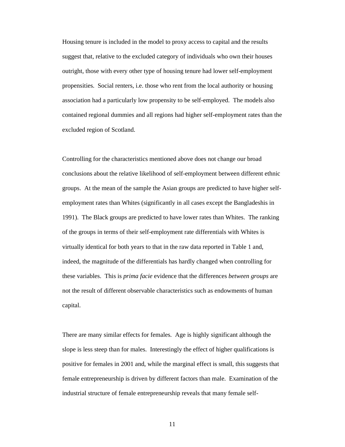Housing tenure is included in the model to proxy access to capital and the results suggest that, relative to the excluded category of individuals who own their houses outright, those with every other type of housing tenure had lower self-employment propensities. Social renters, i.e. those who rent from the local authority or housing association had a particularly low propensity to be self-employed. The models also contained regional dummies and all regions had higher self-employment rates than the excluded region of Scotland.

Controlling for the characteristics mentioned above does not change our broad conclusions about the relative likelihood of self-employment between different ethnic groups. At the mean of the sample the Asian groups are predicted to have higher selfemployment rates than Whites (significantly in all cases except the Bangladeshis in 1991). The Black groups are predicted to have lower rates than Whites. The ranking of the groups in terms of their self-employment rate differentials with Whites is virtually identical for both years to that in the raw data reported in Table 1 and, indeed, the magnitude of the differentials has hardly changed when controlling for these variables. This is *prima facie* evidence that the differences *between groups* are not the result of different observable characteristics such as endowments of human capital.

There are many similar effects for females. Age is highly significant although the slope is less steep than for males. Interestingly the effect of higher qualifications is positive for females in 2001 and, while the marginal effect is small, this suggests that female entrepreneurship is driven by different factors than male. Examination of the industrial structure of female entrepreneurship reveals that many female self-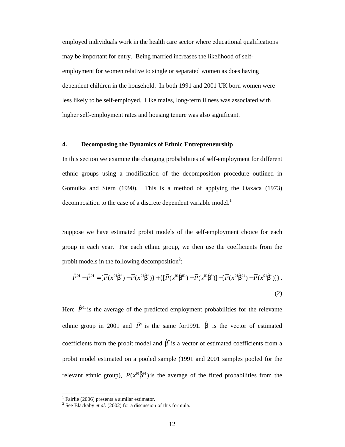employed individuals work in the health care sector where educational qualifications may be important for entry. Being married increases the likelihood of selfemployment for women relative to single or separated women as does having dependent children in the household. In both 1991 and 2001 UK born women were less likely to be self-employed. Like males, long-term illness was associated with higher self-employment rates and housing tenure was also significant.

### **4. Decomposing the Dynamics of Ethnic Entrepreneurship**

In this section we examine the changing probabilities of self-employment for different ethnic groups using a modification of the decomposition procedure outlined in Gomulka and Stern (1990). This is a method of applying the Oaxaca (1973) decomposition to the case of a discrete dependent variable model.<sup>1</sup>

Suppose we have estimated probit models of the self-employment choice for each group in each year. For each ethnic group, we then use the coefficients from the probit models in the following decomposition<sup>2</sup>:

$$
\hat{P}^{01} - \hat{P}^{91} = \{ \overline{P}(x^{01}\hat{\beta}^*) - \overline{P}(x^{91}\hat{\beta}^*) \} + \{ \left[ \overline{P}(x^{01}\hat{\beta}^{01}) - \overline{P}(x^{01}\hat{\beta}^*) \right] - \left[ \overline{P}(x^{91}\hat{\beta}^{91}) - \overline{P}(x^{91}\hat{\beta}^*) \right] \}.
$$
\n(2)

Here  $\hat{P}^{01}$  is the average of the predicted employment probabilities for the relevante ethnic group in 2001 and  $\hat{P}^{91}$  is the same for 1991.  $\hat{\beta}$  is the vector of estimated coefficients from the probit model and  $\hat{\beta}^*$  is a vector of estimated coefficients from a probit model estimated on a pooled sample (1991 and 2001 samples pooled for the relevant ethnic group),  $\overline{P}(x^{91}\hat{\beta}^{91})$  is the average of the fitted probabilities from the

-

<sup>1</sup> Fairlie (2006) presents a similar estimator.

<sup>2</sup> See Blackaby *et al*. (2002) for a discussion of this formula.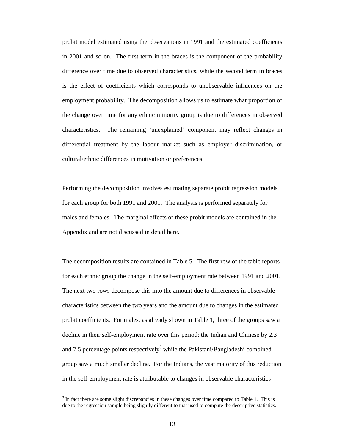probit model estimated using the observations in 1991 and the estimated coefficients in 2001 and so on. The first term in the braces is the component of the probability difference over time due to observed characteristics, while the second term in braces is the effect of coefficients which corresponds to unobservable influences on the employment probability. The decomposition allows us to estimate what proportion of the change over time for any ethnic minority group is due to differences in observed characteristics. The remaining 'unexplained' component may reflect changes in differential treatment by the labour market such as employer discrimination, or cultural/ethnic differences in motivation or preferences.

Performing the decomposition involves estimating separate probit regression models for each group for both 1991 and 2001. The analysis is performed separately for males and females. The marginal effects of these probit models are contained in the Appendix and are not discussed in detail here.

The decomposition results are contained in Table 5. The first row of the table reports for each ethnic group the change in the self-employment rate between 1991 and 2001. The next two rows decompose this into the amount due to differences in observable characteristics between the two years and the amount due to changes in the estimated probit coefficients. For males, as already shown in Table 1, three of the groups saw a decline in their self-employment rate over this period: the Indian and Chinese by 2.3 and 7.5 percentage points respectively<sup>3</sup> while the Pakistani/Bangladeshi combined group saw a much smaller decline. For the Indians, the vast majority of this reduction in the self-employment rate is attributable to changes in observable characteristics

-

 $3$  In fact there are some slight discrepancies in these changes over time compared to Table 1. This is due to the regression sample being slightly different to that used to compute the descriptive statistics.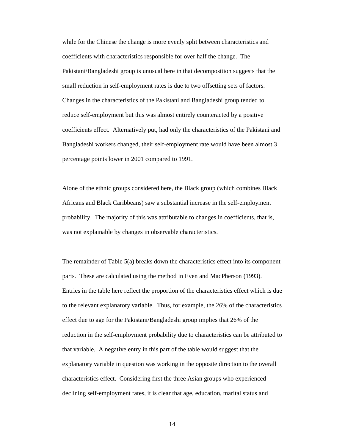while for the Chinese the change is more evenly split between characteristics and coefficients with characteristics responsible for over half the change. The Pakistani/Bangladeshi group is unusual here in that decomposition suggests that the small reduction in self-employment rates is due to two offsetting sets of factors. Changes in the characteristics of the Pakistani and Bangladeshi group tended to reduce self-employment but this was almost entirely counteracted by a positive coefficients effect. Alternatively put, had only the characteristics of the Pakistani and Bangladeshi workers changed, their self-employment rate would have been almost 3 percentage points lower in 2001 compared to 1991.

Alone of the ethnic groups considered here, the Black group (which combines Black Africans and Black Caribbeans) saw a substantial increase in the self-employment probability. The majority of this was attributable to changes in coefficients, that is, was not explainable by changes in observable characteristics.

The remainder of Table 5(a) breaks down the characteristics effect into its component parts. These are calculated using the method in Even and MacPherson (1993). Entries in the table here reflect the proportion of the characteristics effect which is due to the relevant explanatory variable. Thus, for example, the 26% of the characteristics effect due to age for the Pakistani/Bangladeshi group implies that 26% of the reduction in the self-employment probability due to characteristics can be attributed to that variable. A negative entry in this part of the table would suggest that the explanatory variable in question was working in the opposite direction to the overall characteristics effect. Considering first the three Asian groups who experienced declining self-employment rates, it is clear that age, education, marital status and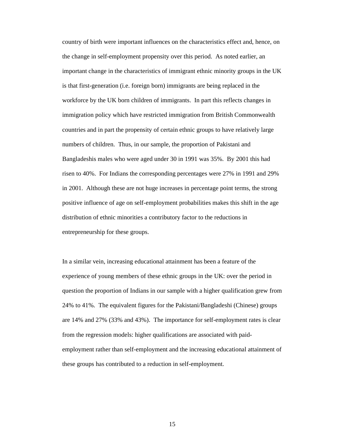country of birth were important influences on the characteristics effect and, hence, on the change in self-employment propensity over this period. As noted earlier, an important change in the characteristics of immigrant ethnic minority groups in the UK is that first-generation (i.e. foreign born) immigrants are being replaced in the workforce by the UK born children of immigrants. In part this reflects changes in immigration policy which have restricted immigration from British Commonwealth countries and in part the propensity of certain ethnic groups to have relatively large numbers of children. Thus, in our sample, the proportion of Pakistani and Bangladeshis males who were aged under 30 in 1991 was 35%. By 2001 this had risen to 40%. For Indians the corresponding percentages were 27% in 1991 and 29% in 2001. Although these are not huge increases in percentage point terms, the strong positive influence of age on self-employment probabilities makes this shift in the age distribution of ethnic minorities a contributory factor to the reductions in entrepreneurship for these groups.

In a similar vein, increasing educational attainment has been a feature of the experience of young members of these ethnic groups in the UK: over the period in question the proportion of Indians in our sample with a higher qualification grew from 24% to 41%. The equivalent figures for the Pakistani/Bangladeshi (Chinese) groups are 14% and 27% (33% and 43%). The importance for self-employment rates is clear from the regression models: higher qualifications are associated with paidemployment rather than self-employment and the increasing educational attainment of these groups has contributed to a reduction in self-employment.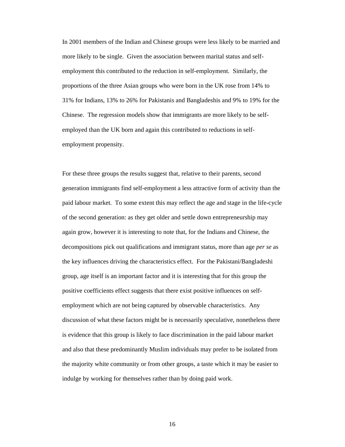In 2001 members of the Indian and Chinese groups were less likely to be married and more likely to be single. Given the association between marital status and selfemployment this contributed to the reduction in self-employment. Similarly, the proportions of the three Asian groups who were born in the UK rose from 14% to 31% for Indians, 13% to 26% for Pakistanis and Bangladeshis and 9% to 19% for the Chinese. The regression models show that immigrants are more likely to be selfemployed than the UK born and again this contributed to reductions in selfemployment propensity.

For these three groups the results suggest that, relative to their parents, second generation immigrants find self-employment a less attractive form of activity than the paid labour market. To some extent this may reflect the age and stage in the life-cycle of the second generation: as they get older and settle down entrepreneurship may again grow, however it is interesting to note that, for the Indians and Chinese, the decompositions pick out qualifications and immigrant status, more than age *per se* as the key influences driving the characteristics effect. For the Pakistani/Bangladeshi group, age itself is an important factor and it is interesting that for this group the positive coefficients effect suggests that there exist positive influences on selfemployment which are not being captured by observable characteristics. Any discussion of what these factors might be is necessarily speculative, nonetheless there is evidence that this group is likely to face discrimination in the paid labour market and also that these predominantly Muslim individuals may prefer to be isolated from the majority white community or from other groups, a taste which it may be easier to indulge by working for themselves rather than by doing paid work.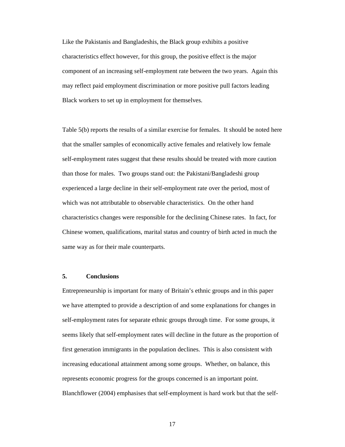Like the Pakistanis and Bangladeshis, the Black group exhibits a positive characteristics effect however, for this group, the positive effect is the major component of an increasing self-employment rate between the two years. Again this may reflect paid employment discrimination or more positive pull factors leading Black workers to set up in employment for themselves.

Table 5(b) reports the results of a similar exercise for females. It should be noted here that the smaller samples of economically active females and relatively low female self-employment rates suggest that these results should be treated with more caution than those for males. Two groups stand out: the Pakistani/Bangladeshi group experienced a large decline in their self-employment rate over the period, most of which was not attributable to observable characteristics. On the other hand characteristics changes were responsible for the declining Chinese rates. In fact, for Chinese women, qualifications, marital status and country of birth acted in much the same way as for their male counterparts.

### **5. Conclusions**

Entrepreneurship is important for many of Britain's ethnic groups and in this paper we have attempted to provide a description of and some explanations for changes in self-employment rates for separate ethnic groups through time. For some groups, it seems likely that self-employment rates will decline in the future as the proportion of first generation immigrants in the population declines. This is also consistent with increasing educational attainment among some groups. Whether, on balance, this represents economic progress for the groups concerned is an important point. Blanchflower (2004) emphasises that self-employment is hard work but that the self-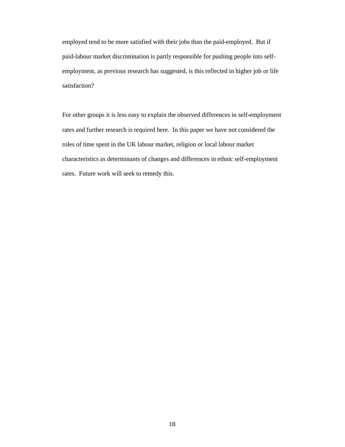employed tend to be more satisfied with their jobs than the paid-employed. But if paid-labour market discrimination is partly responsible for pushing people into selfemployment, as previous research has suggested, is this reflected in higher job or life satisfaction?

For other groups it is less easy to explain the observed differences in self-employment rates and further research is required here. In this paper we have not considered the roles of time spent in the UK labour market, religion or local labour market characteristics as determinants of changes and differences in ethnic self-employment rates. Future work will seek to remedy this.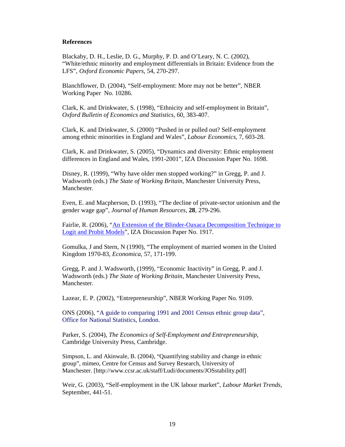#### **References**

Blackaby, D. H., Leslie, D. G., Murphy, P. D. and O'Leary, N. C. (2002), "White/ethnic minority and employment differentials in Britain: Evidence from the LFS", *Oxford Economic Papers*, 54, 270-297.

Blanchflower, D. (2004), "Self-employment: More may not be better", NBER Working Paper No. 10286.

Clark, K. and Drinkwater, S. (1998), "Ethnicity and self-employment in Britain", *Oxford Bulletin of Economics and Statistics*, 60, 383-407.

Clark, K. and Drinkwater, S. (2000) "Pushed in or pulled out? Self-employment among ethnic minorities in England and Wales", *Labour Economics*, 7, 603-28.

Clark, K. and Drinkwater, S. (2005), "Dynamics and diversity: Ethnic employment differences in England and Wales, 1991-2001", IZA Discussion Paper No. 1698.

Disney, R. (1999), "Why have older men stopped working?" in Gregg, P. and J. Wadsworth (eds.) *The State of Working Britain*, Manchester University Press, Manchester.

Even, E. and Macpherson, D. (1993), "The decline of private-sector unionism and the gender wage gap", *Journal of Human Resources*, **28**, 279-296.

Fairlie, R. (2006), "An Extension of the Blinder-Oaxaca Decomposition Technique to Logit and Probit Models", IZA Discussion Paper No. 1917.

Gomulka, J and Stern, N (1990), "The employment of married women in the United Kingdom 1970-83, *Economica*, 57, 171-199.

Gregg, P. and J. Wadsworth, (1999), "Economic Inactivity" in Gregg, P. and J. Wadsworth (eds.) *The State of Working Britain*, Manchester University Press, Manchester.

Lazear, E. P. (2002), "Entrepreneurship", NBER Working Paper No. 9109.

ONS (2006), "A guide to comparing 1991 and 2001 Census ethnic group data", Office for National Statistics, London.

Parker, S. (2004), *The Economics of Self-Employment and Entrepreneurship*, Cambridge University Press, Cambridge.

Simpson, L. and Akinwale, B. (2004), "Quantifying stability and change in ethnic group", mimeo, Centre for Census and Survey Research, University of Manchester. [http://www.ccsr.ac.uk/staff/Ludi/documents/JOSstability.pdf]

Weir, G. (2003), "Self-employment in the UK labour market", *Labour Market Trends*, September, 441-51.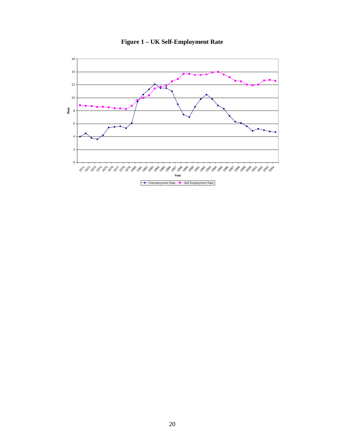

**Figure 1 – UK Self-Employment Rate**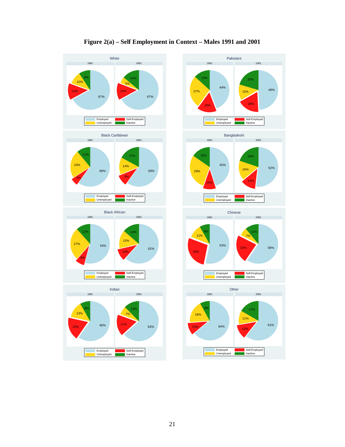

### **Figure 2(a) – Self Employment in Context – Males 1991 and 2001**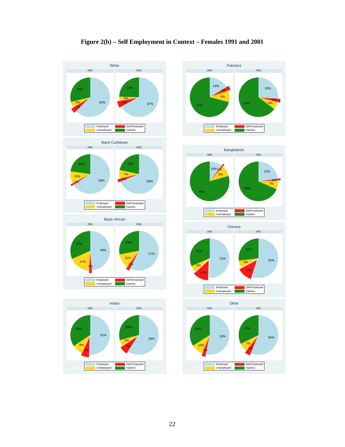

### **Figure 2(b) – Self Employment in Context – Females 1991 and 2001**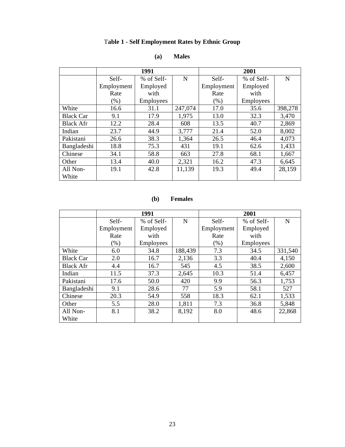# T**able 1 - Self Employment Rates by Ethnic Group**

|                  |            | 1991       |         | 2001       |            |         |  |
|------------------|------------|------------|---------|------------|------------|---------|--|
|                  | Self-      | % of Self- | N       | Self-      | % of Self- | N       |  |
|                  | Employment | Employed   |         | Employment | Employed   |         |  |
|                  | Rate       | with       |         | Rate       | with       |         |  |
|                  | $(\% )$    | Employees  |         | $(\% )$    | Employees  |         |  |
| White            | 16.6       | 31.1       | 247,074 | 17.0       | 35.6       | 398,278 |  |
| <b>Black Car</b> | 9.1        | 17.9       | 1,975   | 13.0       | 32.3       | 3,470   |  |
| <b>Black Afr</b> | 12.2       | 28.4       | 608     | 13.5       | 40.7       | 2,869   |  |
| Indian           | 23.7       | 44.9       | 3,777   | 21.4       | 52.0       | 8,002   |  |
| Pakistani        | 26.6       | 38.3       | 1,364   | 26.5       | 46.4       | 4,073   |  |
| Bangladeshi      | 18.8       | 75.3       | 431     | 19.1       | 62.6       | 1,433   |  |
| Chinese          | 34.1       | 58.8       | 663     | 27.8       | 68.1       | 1,667   |  |
| Other            | 13.4       | 40.0       | 2,321   | 16.2       | 47.3       | 6,645   |  |
| All Non-         | 19.1       | 42.8       | 11,139  | 19.3       | 49.4       | 28,159  |  |
| White            |            |            |         |            |            |         |  |

### **(a) Males**

### **(b) Females**

|                  |            | 1991       |         | 2001       |            |             |  |
|------------------|------------|------------|---------|------------|------------|-------------|--|
|                  | Self-      | % of Self- | N       | Self-      | % of Self- | $\mathbf N$ |  |
|                  | Employment | Employed   |         | Employment | Employed   |             |  |
|                  | Rate       | with       |         | Rate       | with       |             |  |
|                  | (% )       | Employees  |         | $(\% )$    | Employees  |             |  |
| White            | 6.0        | 34.8       | 188,439 | 7.3        | 34.5       | 331,540     |  |
| <b>Black Car</b> | 2.0        | 16.7       | 2,136   | 3.3        | 40.4       | 4,150       |  |
| <b>Black Afr</b> | 4.4        | 16.7       | 545     | 4.5        | 38.5       | 2,600       |  |
| Indian           | 11.5       | 37.3       | 2,645   | 10.3       | 51.4       | 6,457       |  |
| Pakistani        | 17.6       | 50.0       | 420     | 9.9        | 56.3       | 1,753       |  |
| Bangladeshi      | 9.1        | 28.6       | 77      | 5.9        | 58.1       | 527         |  |
| Chinese          | 20.3       | 54.9       | 558     | 18.3       | 62.1       | 1,533       |  |
| Other            | 5.5        | 28.0       | 1,811   | 7.3        | 36.8       | 5,848       |  |
| All Non-         | 8.1        | 38.2       | 8,192   | 8.0        | 48.6       | 22,868      |  |
| White            |            |            |         |            |            |             |  |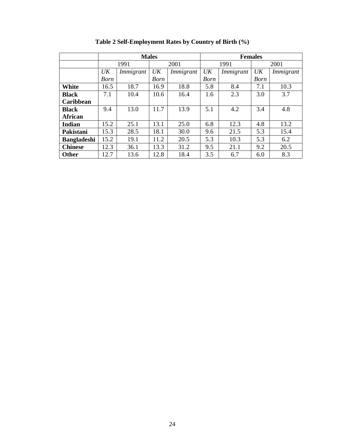|                    |      |           | <b>Males</b> |           | <b>Females</b> |           |             |           |  |
|--------------------|------|-----------|--------------|-----------|----------------|-----------|-------------|-----------|--|
|                    |      | 1991      |              | 2001      |                | 1991      |             | 2001      |  |
|                    | UK   | Immigrant | UK           | Immigrant | UK             | Immigrant | UK          | Immigrant |  |
|                    | Born |           | <b>Born</b>  |           | <b>Born</b>    |           | <b>Born</b> |           |  |
| <b>White</b>       | 16.5 | 18.7      | 16.9         | 18.8      | 5.8            | 8.4       | 7.1         | 10.3      |  |
| <b>Black</b>       | 7.1  | 10.4      | 10.6         | 16.4      | 1.6            | 2.3       | 3.0         | 3.7       |  |
| <b>Caribbean</b>   |      |           |              |           |                |           |             |           |  |
| <b>Black</b>       | 9.4  | 13.0      | 11.7         | 13.9      | 5.1            | 4.2       | 3.4         | 4.8       |  |
| <b>African</b>     |      |           |              |           |                |           |             |           |  |
| <b>Indian</b>      | 15.2 | 25.1      | 13.1         | 25.0      | 6.8            | 12.3      | 4.8         | 13.2      |  |
| Pakistani          | 15.3 | 28.5      | 18.1         | 30.0      | 9.6            | 21.5      | 5.3         | 15.4      |  |
| <b>Bangladeshi</b> | 15.2 | 19.1      | 11.2         | 20.5      | 5.3            | 10.3      | 5.3         | 6.2       |  |
| <b>Chinese</b>     | 12.3 | 36.1      | 13.3         | 31.2      | 9.5            | 21.1      | 9.2         | 20.5      |  |
| <b>Other</b>       | 12.7 | 13.6      | 12.8         | 18.4      | 3.5            | 6.7       | 6.0         | 8.3       |  |

**Table 2 Self-Employment Rates by Country of Birth (%)**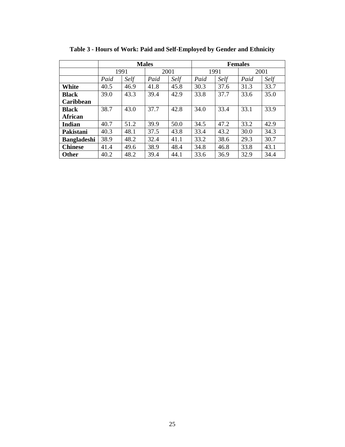|                    |      | <b>Males</b> |      |      |      | <b>Females</b> |      |      |  |
|--------------------|------|--------------|------|------|------|----------------|------|------|--|
|                    |      | 1991         | 2001 |      | 1991 |                | 2001 |      |  |
|                    | Paid | Self         | Paid | Self | Paid | Self           | Paid | Self |  |
| White              | 40.5 | 46.9         | 41.8 | 45.8 | 30.3 | 37.6           | 31.3 | 33.7 |  |
| <b>Black</b>       | 39.0 | 43.3         | 39.4 | 42.9 | 33.8 | 37.7           | 33.6 | 35.0 |  |
| Caribbean          |      |              |      |      |      |                |      |      |  |
| <b>Black</b>       | 38.7 | 43.0         | 37.7 | 42.8 | 34.0 | 33.4           | 33.1 | 33.9 |  |
| <b>African</b>     |      |              |      |      |      |                |      |      |  |
| <b>Indian</b>      | 40.7 | 51.2         | 39.9 | 50.0 | 34.5 | 47.2           | 33.2 | 42.9 |  |
| Pakistani          | 40.3 | 48.1         | 37.5 | 43.8 | 33.4 | 43.2           | 30.0 | 34.3 |  |
| <b>Bangladeshi</b> | 38.9 | 48.2         | 32.4 | 41.1 | 33.2 | 38.6           | 29.3 | 30.7 |  |
| <b>Chinese</b>     | 41.4 | 49.6         | 38.9 | 48.4 | 34.8 | 46.8           | 33.8 | 43.1 |  |
| <b>Other</b>       | 40.2 | 48.2         | 39.4 | 44.1 | 33.6 | 36.9           | 32.9 | 34.4 |  |

**Table 3 - Hours of Work: Paid and Self-Employed by Gender and Ethnicity**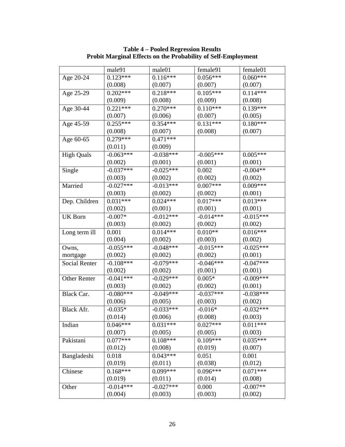|                   | male91                | male01      | female91              | female01    |
|-------------------|-----------------------|-------------|-----------------------|-------------|
| Age 20-24         | $0.123***$            | $0.116***$  | $0.056***$            | $0.060***$  |
|                   | (0.008)               | (0.007)     | (0.007)               | (0.007)     |
| Age 25-29         | $0.202***$            | $0.218***$  | $0.105***$            | $0.114***$  |
|                   | (0.009)               | (0.008)     | (0.009)               | (0.008)     |
| Age 30-44         | $0.22\overline{1***}$ | $0.270***$  | $0.1\overline{10***}$ | $0.139***$  |
|                   | (0.007)               | (0.006)     | (0.007)               | (0.005)     |
| Age 45-59         | $0.255***$            | $0.354***$  | $0.131***$            | $0.180***$  |
|                   | (0.008)               | (0.007)     | (0.008)               | (0.007)     |
| Age 60-65         | $0.279***$            | $0.471***$  |                       |             |
|                   | (0.011)               | (0.009)     |                       |             |
| <b>High Quals</b> | $-0.063***$           | $-0.038***$ | $-0.005***$           | $0.005***$  |
|                   | (0.002)               | (0.001)     | (0.001)               | (0.001)     |
| Single            | $-0.037***$           | $-0.025***$ | 0.002                 | $-0.004**$  |
|                   | (0.003)               | (0.002)     | (0.002)               | (0.002)     |
| Married           | $-0.027***$           | $-0.013***$ | $0.007***$            | $0.009***$  |
|                   | (0.003)               | (0.002)     | (0.002)               | (0.001)     |
| Dep. Children     | $0.031***$            | $0.024***$  | $0.017***$            | $0.013***$  |
|                   | (0.002)               | (0.001)     | (0.001)               | (0.001)     |
| <b>UK Born</b>    | $-0.007*$             | $-0.012***$ | $-0.014***$           | $-0.015***$ |
|                   | (0.003)               | (0.002)     | (0.002)               | (0.002)     |
| Long term ill     | 0.001                 | $0.014***$  | $0.010**$             | $0.016***$  |
|                   | (0.004)               | (0.002)     | (0.003)               | (0.002)     |
| Owns,             | $-0.055***$           | $-0.048***$ | $-0.015***$           | $-0.025***$ |
| mortgage          | (0.002)               | (0.002)     | (0.002)               | (0.001)     |
| Social Renter     | $-0.108***$           | $-0.079***$ | $-0.046***$           | $-0.047***$ |
|                   | (0.002)               | (0.002)     | (0.001)               | (0.001)     |
| Other Renter      | $-0.041***$           | $-0.029***$ | $0.005*$              | $-0.009***$ |
|                   | (0.003)               | (0.002)     | (0.002)               | (0.001)     |
| Black Car.        | $-0.080***$           | $-0.049***$ | $-0.037***$           | $-0.038***$ |
|                   | (0.006)               | (0.005)     | (0.003)               | (0.002)     |
| Black Afr.        | $-0.035*$             | $-0.033***$ | $-0.016*$             | $-0.032***$ |
|                   | (0.014)               | (0.006)     | (0.008)               | (0.003)     |
| Indian            | $0.046***$            | $0.031***$  | $0.027***$            | $0.011***$  |
|                   | (0.007)               | (0.005)     | (0.005)               | (0.003)     |
| Pakistani         | $0.077***$            | $0.108***$  | $0.109***$            | $0.035***$  |
|                   | (0.012)               | (0.008)     | (0.019)               | (0.007)     |
| Bangladeshi       | 0.018                 | $0.043***$  | 0.051                 | 0.001       |
|                   | (0.019)               | (0.011)     | (0.038)               | (0.012)     |
| Chinese           | $0.168***$            | $0.099***$  | $0.096***$            | $0.071***$  |
|                   | (0.019)               | (0.011)     | (0.014)               | (0.008)     |
| Other             | $-0.014***$           | $-0.027***$ | 0.000                 | $-0.007**$  |
|                   | (0.004)               | (0.003)     | (0.003)               | (0.002)     |

**Table 4 – Pooled Regression Results Probit Marginal Effects on the Probability of Self-Employment**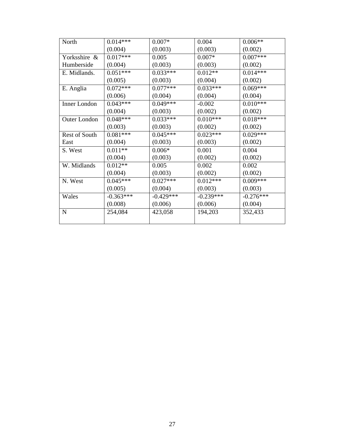| North                | $0.014***$  | $0.007*$    | 0.004       | $0.006**$   |
|----------------------|-------------|-------------|-------------|-------------|
|                      | (0.004)     | (0.003)     | (0.003)     | (0.002)     |
| Yorksshire &         | $0.017***$  | 0.005       | $0.007*$    | $0.007***$  |
| Humberside           | (0.004)     | (0.003)     | (0.003)     | (0.002)     |
| E. Midlands.         | $0.051***$  | $0.033***$  | $0.012**$   | $0.014***$  |
|                      | (0.005)     | (0.003)     | (0.004)     | (0.002)     |
| E. Anglia            | $0.072***$  | $0.077***$  | $0.033***$  | $0.069***$  |
|                      | (0.006)     | (0.004)     | (0.004)     | (0.004)     |
| Inner London         | $0.043***$  | $0.049***$  | $-0.002$    | $0.010***$  |
|                      | (0.004)     | (0.003)     | (0.002)     | (0.002)     |
| <b>Outer London</b>  | $0.048***$  | $0.033***$  | $0.010***$  | $0.018***$  |
|                      | (0.003)     | (0.003)     | (0.002)     | (0.002)     |
| <b>Rest of South</b> | $0.081***$  | $0.045***$  | $0.023***$  | $0.029***$  |
| East                 | (0.004)     | (0.003)     | (0.003)     | (0.002)     |
| S. West              | $0.011**$   | $0.006*$    | 0.001       | 0.004       |
|                      | (0.004)     | (0.003)     | (0.002)     | (0.002)     |
| W. Midlands          | $0.012**$   | 0.005       | 0.002       | 0.002       |
|                      | (0.004)     | (0.003)     | (0.002)     | (0.002)     |
| N. West              | $0.045***$  | $0.027***$  | $0.012***$  | $0.009***$  |
|                      | (0.005)     | (0.004)     | (0.003)     | (0.003)     |
| Wales                | $-0.363***$ | $-0.429***$ | $-0.239***$ | $-0.276***$ |
|                      | (0.008)     | (0.006)     | (0.006)     | (0.004)     |
| N                    | 254,084     | 423,058     | 194,203     | 352,433     |
|                      |             |             |             |             |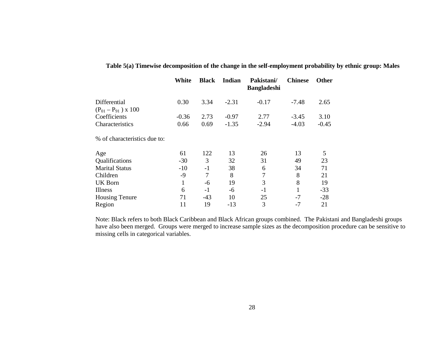|                                | White   | <b>Black</b> | Indian  | Pakistani/<br><b>Bangladeshi</b> | <b>Chinese</b> | <b>Other</b> |
|--------------------------------|---------|--------------|---------|----------------------------------|----------------|--------------|
| Differential                   | 0.30    | 3.34         | $-2.31$ | $-0.17$                          | $-7.48$        | 2.65         |
| $(P_{01} - P_{91}) \times 100$ |         |              |         |                                  |                |              |
| Coefficients                   | $-0.36$ | 2.73         | $-0.97$ | 2.77                             | $-3.45$        | 3.10         |
| Characteristics                | 0.66    | 0.69         | $-1.35$ | $-2.94$                          | $-4.03$        | $-0.45$      |
| % of characteristics due to:   |         |              |         |                                  |                |              |
| Age                            | 61      | 122          | 13      | 26                               | 13             | 5            |
| Qualifications                 | $-30$   | 3            | 32      | 31                               | 49             | 23           |
| <b>Marital Status</b>          | $-10$   | $-1$         | 38      | 6                                | 34             | 71           |
| Children                       | $-9$    | 7            | 8       | 7                                | 8              | 21           |
| UK Born                        | 1       | -6           | 19      | 3                                | 8              | 19           |
| Illness                        | 6       | $-1$         | -6      | $-1$                             |                | $-33$        |
| <b>Housing Tenure</b>          | 71      | $-43$        | 10      | 25                               | $-7$           | $-28$        |
| Region                         | 11      | 19           | $-13$   | 3                                | $-7$           | 21           |
|                                |         |              |         |                                  |                |              |

### **Table 5(a) Timewise decomposition of the change in the self-employment probability by ethnic group: Males**

Note: Black refers to both Black Caribbean and Black African groups combined. The Pakistani and Bangladeshi groups have also been merged. Groups were merged to increase sample sizes as the decomposition procedure can be sensitive to missing cells in categorical variables.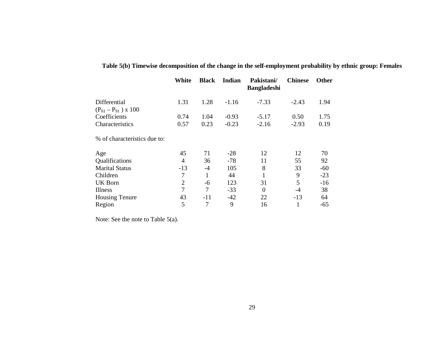|                                | White          | <b>Black</b> | Indian  | Pakistani/<br><b>Bangladeshi</b> | <b>Chinese</b> | Other |
|--------------------------------|----------------|--------------|---------|----------------------------------|----------------|-------|
| Differential                   | 1.31           | 1.28         | $-1.16$ | $-7.33$                          | $-2.43$        | 1.94  |
| $(P_{01} - P_{91}) \times 100$ |                |              |         |                                  |                |       |
| Coefficients                   | 0.74           | 1.04         | $-0.93$ | $-5.17$                          | 0.50           | 1.75  |
| Characteristics                | 0.57           | 0.23         | $-0.23$ | $-2.16$                          | $-2.93$        | 0.19  |
| % of characteristics due to:   |                |              |         |                                  |                |       |
| Age                            | 45             | 71           | $-28$   | 12                               | 12             | 70    |
| Qualifications                 | $\overline{4}$ | 36           | $-78$   | 11                               | 55             | 92    |
| <b>Marital Status</b>          | $-13$          | $-4$         | 105     | 8                                | 33             | $-60$ |
| Children                       | 7              | $\mathbf{1}$ | 44      | 1                                | 9              | $-23$ |
| <b>UK Born</b>                 | $\overline{2}$ | -6           | 123     | 31                               | 5              | $-16$ |
| Illness                        | 7              | 7            | $-33$   | $\theta$                         | $-4$           | 38    |
| <b>Housing Tenure</b>          | 43             | $-11$        | $-42$   | 22                               | $-13$          | 64    |
| Region                         | 5              | 7            | 9       | 16                               | 1              | $-65$ |
|                                |                |              |         |                                  |                |       |

**Table 5(b) Timewise decomposition of the change in the self-employment probability by ethnic group: Females** 

Note: See the note to Table 5(a).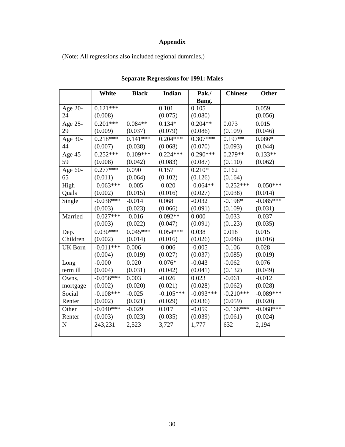## **Appendix**

(Note: All regressions also included regional dummies.)

|                | White       | <b>Black</b> | <b>Indian</b> | Pak./       | <b>Chinese</b> | <b>Other</b> |
|----------------|-------------|--------------|---------------|-------------|----------------|--------------|
|                |             |              |               | Bang.       |                |              |
| Age 20-        | $0.121***$  |              | 0.101         | 0.105       |                | 0.059        |
| 24             | (0.008)     |              | (0.075)       | (0.080)     |                | (0.056)      |
| Age $25$ -     | $0.201***$  | $0.084**$    | $0.134*$      | $0.204**$   | 0.073          | 0.015        |
| 29             | (0.009)     | (0.037)      | (0.079)       | (0.086)     | (0.109)        | (0.046)      |
| Age 30-        | $0.218***$  | $0.141***$   | $0.204***$    | $0.307***$  | $0.197**$      | $0.086*$     |
| 44             | (0.007)     | (0.038)      | (0.068)       | (0.070)     | (0.093)        | (0.044)      |
| Age 45-        | $0.252***$  | $0.109***$   | $0.224***$    | $0.290***$  | $0.279**$      | $0.133**$    |
| 59             | (0.008)     | (0.042)      | (0.083)       | (0.087)     | (0.110)        | (0.062)      |
| Age 60-        | $0.277***$  | 0.090        | 0.157         | $0.210*$    | 0.162          |              |
| 65             | (0.011)     | (0.064)      | (0.102)       | (0.126)     | (0.164)        |              |
| High           | $-0.063***$ | $-0.005$     | $-0.020$      | $-0.064**$  | $-0.252***$    | $-0.050***$  |
| Quals          | (0.002)     | (0.015)      | (0.016)       | (0.027)     | (0.038)        | (0.014)      |
| Single         | $-0.038***$ | $-0.014$     | 0.068         | $-0.032$    | $-0.198*$      | $-0.085***$  |
|                | (0.003)     | (0.023)      | (0.066)       | (0.091)     | (0.109)        | (0.031)      |
| Married        | $-0.027***$ | $-0.016$     | $0.092**$     | 0.000       | $-0.033$       | $-0.037$     |
|                | (0.003)     | (0.022)      | (0.047)       | (0.091)     | (0.123)        | (0.035)      |
| Dep.           | $0.030***$  | $0.045***$   | $0.054***$    | 0.038       | 0.018          | 0.015        |
| Children       | (0.002)     | (0.014)      | (0.016)       | (0.026)     | (0.046)        | (0.016)      |
| <b>UK Born</b> | $-0.011***$ | 0.006        | $-0.006$      | $-0.005$    | $-0.106$       | 0.028        |
|                | (0.004)     | (0.019)      | (0.027)       | (0.037)     | (0.085)        | (0.019)      |
| Long           | $-0.000$    | 0.020        | $0.076*$      | $-0.043$    | $-0.062$       | 0.076        |
| term ill       | (0.004)     | (0.031)      | (0.042)       | (0.041)     | (0.132)        | (0.049)      |
| Owns,          | $-0.056***$ | 0.003        | $-0.026$      | 0.023       | $-0.061$       | $-0.012$     |
| mortgage       | (0.002)     | (0.020)      | (0.021)       | (0.028)     | (0.062)        | (0.028)      |
| Social         | $-0.108***$ | $-0.025$     | $-0.105***$   | $-0.093***$ | $-0.210***$    | $-0.089***$  |
| Renter         | (0.002)     | (0.021)      | (0.029)       | (0.036)     | (0.059)        | (0.020)      |
| Other          | $-0.040**$  | $-0.029$     | 0.017         | $-0.059$    | $-0.166***$    | $-0.068***$  |
| Renter         | (0.003)     | (0.023)      | (0.035)       | (0.039)     | (0.061)        | (0.024)      |
| $\overline{N}$ | 243,231     | 2,523        | 3,727         | 1,777       | 632            | 2,194        |
|                |             |              |               |             |                |              |

### **Separate Regressions for 1991: Males**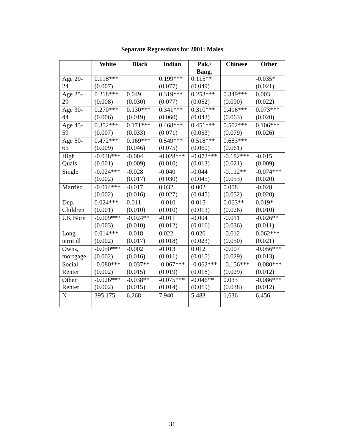|                | White       | <b>Black</b> | Indian      | Pak./       | <b>Chinese</b> | Other       |
|----------------|-------------|--------------|-------------|-------------|----------------|-------------|
|                |             |              |             | Bang.       |                |             |
| Age 20-        | $0.118***$  |              | $0.199***$  | $0.115**$   |                | $-0.035*$   |
| 24             | (0.007)     |              | (0.077)     | (0.049)     |                | (0.021)     |
| Age 25-        | $0.218***$  | 0.049        | $0.319***$  | $0.253***$  | $0.349***$     | 0.003       |
| 29             | (0.008)     | (0.030)      | (0.077)     | (0.052)     | (0.090)        | (0.022)     |
| Age 30-        | $0.270***$  | $0.130***$   | $0.341***$  | $0.310***$  | $0.416***$     | $0.073***$  |
| 44             | (0.006)     | (0.019)      | (0.060)     | (0.043)     | (0.063)        | (0.020)     |
| Age 45-        | $0.352***$  | $0.171***$   | $0.468***$  | $0.451***$  | $0.502***$     | $0.106***$  |
| 59             | (0.007)     | (0.033)      | (0.071)     | (0.053)     | (0.079)        | (0.026)     |
| Age 60-        | $0.472***$  | $0.169***$   | $0.549***$  | $0.518***$  | $0.683***$     |             |
| 65             | (0.009)     | (0.046)      | (0.075)     | (0.060)     | (0.061)        |             |
| High           | $-0.038***$ | $-0.004$     | $-0.028***$ | $-0.072***$ | $-0.182***$    | $-0.015$    |
| Quals          | (0.001)     | (0.009)      | (0.010)     | (0.013)     | (0.021)        | (0.009)     |
| Single         | $-0.024***$ | $-0.028$     | $-0.040$    | $-0.044$    | $-0.112**$     | $-0.074***$ |
|                | (0.002)     | (0.017)      | (0.030)     | (0.045)     | (0.053)        | (0.020)     |
| Married        | $-0.014***$ | $-0.017$     | 0.032       | 0.002       | 0.008          | $-0.028$    |
|                | (0.002)     | (0.016)      | (0.027)     | (0.045)     | (0.052)        | (0.020)     |
| Dep.           | $0.024***$  | 0.011        | $-0.010$    | 0.015       | $0.063**$      | $0.019*$    |
| Children       | (0.001)     | (0.010)      | (0.010)     | (0.013)     | (0.026)        | (0.010)     |
| <b>UK Born</b> | $-0.009***$ | $-0.024**$   | $-0.011$    | $-0.004$    | $-0.011$       | $-0.026**$  |
|                | (0.003)     | (0.010)      | (0.012)     | (0.016)     | (0.036)        | (0.011)     |
| Long           | $0.014***$  | $-0.018$     | 0.022       | 0.026       | $-0.012$       | $0.062***$  |
| term ill       | (0.002)     | (0.017)      | (0.018)     | (0.023)     | (0.050)        | (0.021)     |
| Owns,          | $-0.050***$ | $-0.002$     | $-0.013$    | 0.012       | $-0.007$       | $-0.056***$ |
| mortgage       | (0.002)     | (0.016)      | (0.011)     | (0.015)     | (0.029)        | (0.013)     |
| Social         | $-0.080***$ | $-0.037**$   | $-0.067***$ | $-0.062***$ | $-0.156***$    | $-0.080***$ |
| Renter         | (0.002)     | (0.015)      | (0.019)     | (0.018)     | (0.029)        | (0.012)     |
| Other          | $-0.026***$ | $-0.038**$   | $-0.075***$ | $-0.046**$  | 0.033          | $-0.086***$ |
| Renter         | (0.002)     | (0.015)      | (0.014)     | (0.019)     | (0.038)        | (0.012)     |
| $\mathbf N$    | 395,175     | 6,268        | 7,940       | 5,483       | 1,636          | 6,456       |
|                |             |              |             |             |                |             |

**Separate Regressions for 2001: Males**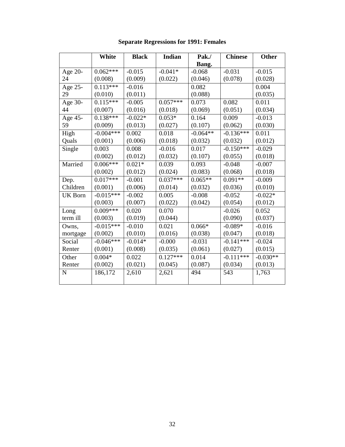|                | <b>White</b> | <b>Black</b> | Indian     | Pak./      | <b>Chinese</b> | <b>Other</b> |
|----------------|--------------|--------------|------------|------------|----------------|--------------|
|                |              |              |            | Bang.      |                |              |
| Age 20-        | $0.062***$   | $-0.015$     | $-0.041*$  | $-0.068$   | $-0.031$       | $-0.015$     |
| 24             | (0.008)      | (0.009)      | (0.022)    | (0.046)    | (0.078)        | (0.028)      |
| Age 25-        | $0.113***$   | $-0.016$     |            | 0.082      |                | 0.004        |
| 29             | (0.010)      | (0.011)      |            | (0.088)    |                | (0.035)      |
| Age 30-        | $0.115***$   | $-0.005$     | $0.057***$ | 0.073      | 0.082          | 0.011        |
| 44             | (0.007)      | (0.016)      | (0.018)    | (0.069)    | (0.051)        | (0.034)      |
| Age 45-        | $0.138***$   | $-0.022*$    | $0.053*$   | 0.164      | 0.009          | $-0.013$     |
| 59             | (0.009)      | (0.013)      | (0.027)    | (0.107)    | (0.062)        | (0.030)      |
| High           | $-0.004***$  | 0.002        | 0.018      | $-0.064**$ | $-0.136***$    | 0.011        |
| Quals          | (0.001)      | (0.006)      | (0.018)    | (0.032)    | (0.032)        | (0.012)      |
| Single         | 0.003        | 0.008        | $-0.016$   | 0.017      | $-0.150***$    | $-0.029$     |
|                | (0.002)      | (0.012)      | (0.032)    | (0.107)    | (0.055)        | (0.018)      |
| Married        | $0.006***$   | $0.021*$     | 0.039      | 0.093      | $-0.048$       | $-0.007$     |
|                | (0.002)      | (0.012)      | (0.024)    | (0.083)    | (0.068)        | (0.018)      |
| Dep.           | $0.017***$   | $-0.001$     | $0.037***$ | $0.065**$  | $0.091**$      | $-0.009$     |
| Children       | (0.001)      | (0.006)      | (0.014)    | (0.032)    | (0.036)        | (0.010)      |
| <b>UK Born</b> | $-0.015***$  | $-0.002$     | 0.005      | $-0.008$   | $-0.052$       | $-0.022*$    |
|                | (0.003)      | (0.007)      | (0.022)    | (0.042)    | (0.054)        | (0.012)      |
| Long           | $0.009***$   | 0.020        | 0.070      |            | $-0.026$       | 0.052        |
| term ill       | (0.003)      | (0.019)      | (0.044)    |            | (0.090)        | (0.037)      |
| Owns,          | $-0.015***$  | $-0.010$     | 0.021      | $0.066*$   | $-0.089*$      | $-0.016$     |
| mortgage       | (0.002)      | (0.010)      | (0.016)    | (0.038)    | (0.047)        | (0.018)      |
| Social         | $-0.046***$  | $-0.014*$    | $-0.000$   | $-0.031$   | $-0.141***$    | $-0.024$     |
| Renter         | (0.001)      | (0.008)      | (0.035)    | (0.061)    | (0.027)        | (0.015)      |
| Other          | $0.004*$     | 0.022        | $0.127***$ | 0.014      | $-0.111***$    | $-0.030**$   |
| Renter         | (0.002)      | (0.021)      | (0.045)    | (0.087)    | (0.034)        | (0.013)      |
| $\mathbf N$    | 186,172      | 2,610        | 2,621      | 494        | 543            | 1,763        |
|                |              |              |            |            |                |              |

## **Separate Regressions for 1991: Females**